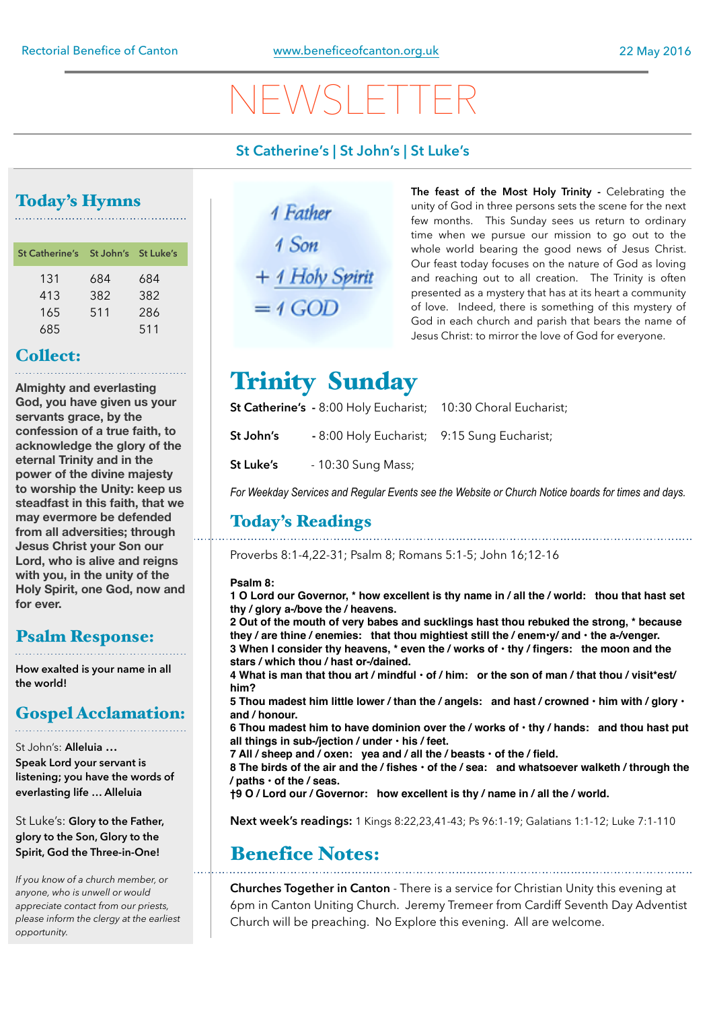# $\sqrt{2}$

### **St Catherine's | St John's | St Luke's**

### Today's Hymns

| St Catherine's St John's St Luke's |     |     |
|------------------------------------|-----|-----|
| 131                                | 684 | 684 |
| 413                                | 382 | 382 |
| 165                                | 511 | 286 |
| 685                                |     | 511 |

### Collect:

**Almighty and everlasting God, you have given us your servants grace, by the confession of a true faith, to acknowledge the glory of the eternal Trinity and in the power of the divine majesty to worship the Unity: keep us steadfast in this faith, that we may evermore be defended from all adversities; through Jesus Christ your Son our Lord, who is alive and reigns with you, in the unity of the Holy Spirit, one God, now and for ever.**

### Psalm Response:

**How exalted is your name in all the world!** 

### Gospel Acclamation:

St John's: **Alleluia … Speak Lord your servant is listening; you have the words of everlasting life … Alleluia** 

St Luke's: **Glory to the Father, glory to the Son, Glory to the Spirit, God the Three-in-One!**

*If you know of a church member, or anyone, who is unwell or would appreciate contact from our priests, please inform the clergy at the earliest opportunity.* 



The feast of the Most Holy Trinity - Celebrating the unity of God in three persons sets the scene for the next few months. This Sunday sees us return to ordinary time when we pursue our mission to go out to the whole world bearing the good news of Jesus Christ. Our feast today focuses on the nature of God as loving and reaching out to all creation. The Trinity is often presented as a mystery that has at its heart a community of love. Indeed, there is something of this mystery of God in each church and parish that bears the name of Jesus Christ: to mirror the love of God for everyone.

## Trinity Sunday

|  | St Catherine's - 8:00 Holy Eucharist; 10:30 Choral Eucharist; |
|--|---------------------------------------------------------------|
|  |                                                               |

**St John's -** 8:00 Holy Eucharist; 9:15 Sung Eucharist;

**St Luke's** - 10:30 Sung Mass;

*For Weekday Services and Regular Events see the Website or Church Notice boards for times and days.* 

### Today's Readings

Proverbs 8:1-4,22-31; Psalm 8; Romans 5:1-5; John 16;12-16

### **Psalm 8:**

**1 O Lord our Governor, \* how excellent is thy name in / all the / world: thou that hast set thy / glory a-/bove the / heavens.** 

**2 Out of the mouth of very babes and sucklings hast thou rebuked the strong, \* because they / are thine / enemies: that thou mightiest still the / enem•y/ and • the a-/venger. 3 When I consider thy heavens, \* even the / works of • thy / fingers: the moon and the stars / which thou / hast or-/dained.** 

**4 What is man that thou art / mindful • of / him: or the son of man / that thou / visit\*est/ him?**

**5 Thou madest him little lower / than the / angels: and hast / crowned • him with / glory • and / honour.** 

**6 Thou madest him to have dominion over the / works of • thy / hands: and thou hast put all things in sub-/jection / under • his / feet.**

**7 All / sheep and / oxen: yea and / all the / beasts • of the / field.** 

**8 The birds of the air and the / fishes • of the / sea: and whatsoever walketh / through the / paths • of the / seas.**

**†9 O / Lord our / Governor: how excellent is thy / name in / all the / world.**

**Next week's readings:** 1 Kings 8:22,23,41-43; Ps 96:1-19; Galatians 1:1-12; Luke 7:1-110

### Benefice Notes:

**Churches Together in Canton** - There is a service for Christian Unity this evening at 6pm in Canton Uniting Church. Jeremy Tremeer from Cardiff Seventh Day Adventist Church will be preaching. No Explore this evening. All are welcome.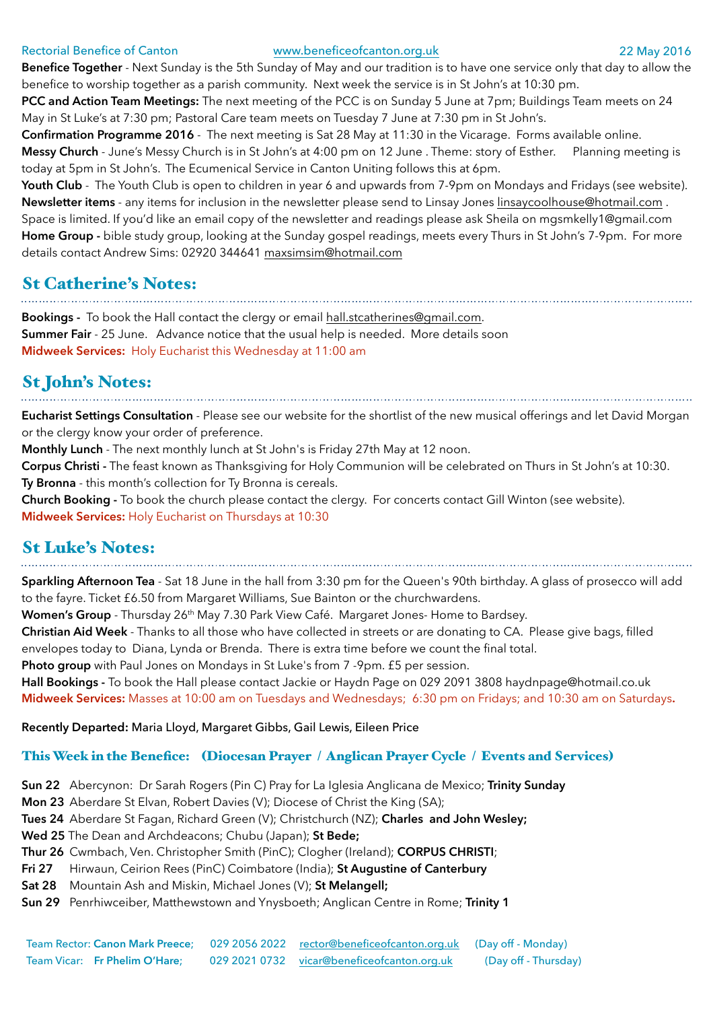### Rectorial Benefice of Canton [www.beneficeofcanton.org.uk](http://www.beneficeofcanton.org.uk) 22 May 2016

**Benefice Together** - Next Sunday is the 5th Sunday of May and our tradition is to have one service only that day to allow the benefice to worship together as a parish community. Next week the service is in St John's at 10:30 pm.

**PCC and Action Team Meetings:** The next meeting of the PCC is on Sunday 5 June at 7pm; Buildings Team meets on 24 May in St Luke's at 7:30 pm; Pastoral Care team meets on Tuesday 7 June at 7:30 pm in St John's.

**Confirmation Programme 2016** - The next meeting is Sat 28 May at 11:30 in the Vicarage. Forms available online. **Messy Church** - June's Messy Church is in St John's at 4:00 pm on 12 June . Theme: story of Esther. Planning meeting is today at 5pm in St John's. The Ecumenical Service in Canton Uniting follows this at 6pm.

**Youth Club** - The Youth Club is open to children in year 6 and upwards from 7-9pm on Mondays and Fridays (see website). **Newsletter items** - any items for inclusion in the newsletter please send to Linsay Jones [linsaycoolhouse@hotmail.com](mailto:linsaycoolhouse@hotmail.com) .

Space is limited. If you'd like an email copy of the newsletter and readings please ask Sheila on [mgsmkelly1@gmail.com](mailto:mgsmkelly1@gmail.com)  **Home Group -** bible study group, looking at the Sunday gospel readings, meets every Thurs in St John's 7-9pm. For more details contact Andrew Sims: 02920 344641 [maxsimsim@hotmail.com](mailto:maxsimsim@hotmail.com) 

### St Catherine's Notes:

**Bookings -** To book the Hall contact the clergy or email [hall.stcatherines@gmail.com.](mailto:hall.stcatherines@gmail.com) **Summer Fair** - 25 June. Advance notice that the usual help is needed. More details soon **Midweek Services:** Holy Eucharist this Wednesday at 11:00 am

## St John's Notes:

**Eucharist Settings Consultation** - Please see our website for the shortlist of the new musical offerings and let David Morgan or the clergy know your order of preference.

**Monthly Lunch** - The next monthly lunch at St John's is Friday 27th May at 12 noon.

**Corpus Christi -** The feast known as Thanksgiving for Holy Communion will be celebrated on Thurs in St John's at 10:30. **Ty Bronna** - this month's collection for Ty Bronna is cereals.

**Church Booking -** To book the church please contact the clergy. For concerts contact Gill Winton (see website). **Midweek Services:** Holy Eucharist on Thursdays at 10:30

## St Luke's Notes:

**Sparkling Afternoon Tea** - Sat 18 June in the hall from 3:30 pm for the Queen's 90th birthday. A glass of prosecco will add to the fayre. Ticket £6.50 from Margaret Williams, Sue Bainton or the churchwardens.

**Women's Group** - Thursday 26th May 7.30 Park View Café. Margaret Jones- Home to Bardsey.

**Christian Aid Week** - Thanks to all those who have collected in streets or are donating to CA. Please give bags, filled

envelopes today to Diana, Lynda or Brenda. There is extra time before we count the final total.

**Photo group** with Paul Jones on Mondays in St Luke's from 7 -9pm. £5 per session.

**Hall Bookings -** To book the Hall please contact Jackie or Haydn Page on 029 2091 3808 [haydnpage@hotmail.co.uk](mailto:haydnpage@hotmail.co.uk) **Midweek Services:** Masses at 10:00 am on Tuesdays and Wednesdays; 6:30 pm on Fridays; and 10:30 am on Saturdays**.**

**Recently Departed:** Maria Lloyd, Margaret Gibbs, Gail Lewis, Eileen Price

### This Week in the Benefice: (Diocesan Prayer / Anglican Prayer Cycle / Events and Services)

**Sun 22** Abercynon: Dr Sarah Rogers (Pin C) Pray for La Iglesia Anglicana de Mexico; **Trinity Sunday** 

**Mon 23** Aberdare St Elvan, Robert Davies (V); Diocese of Christ the King (SA);

**Tues 24** Aberdare St Fagan, Richard Green (V); Christchurch (NZ); **Charles and John Wesley;** 

**Wed 25** The Dean and Archdeacons; Chubu (Japan); **St Bede;** 

**Thur 26** Cwmbach, Ven. Christopher Smith (PinC); Clogher (Ireland); **CORPUS CHRISTI**;

**Fri 27** Hirwaun, Ceirion Rees (PinC) Coimbatore (India); **St Augustine of Canterbury**

**Sat 28** Mountain Ash and Miskin, Michael Jones (V); **St Melangell;** 

**Sun 29** Penrhiwceiber, Matthewstown and Ynysboeth; Anglican Centre in Rome; **Trinity 1**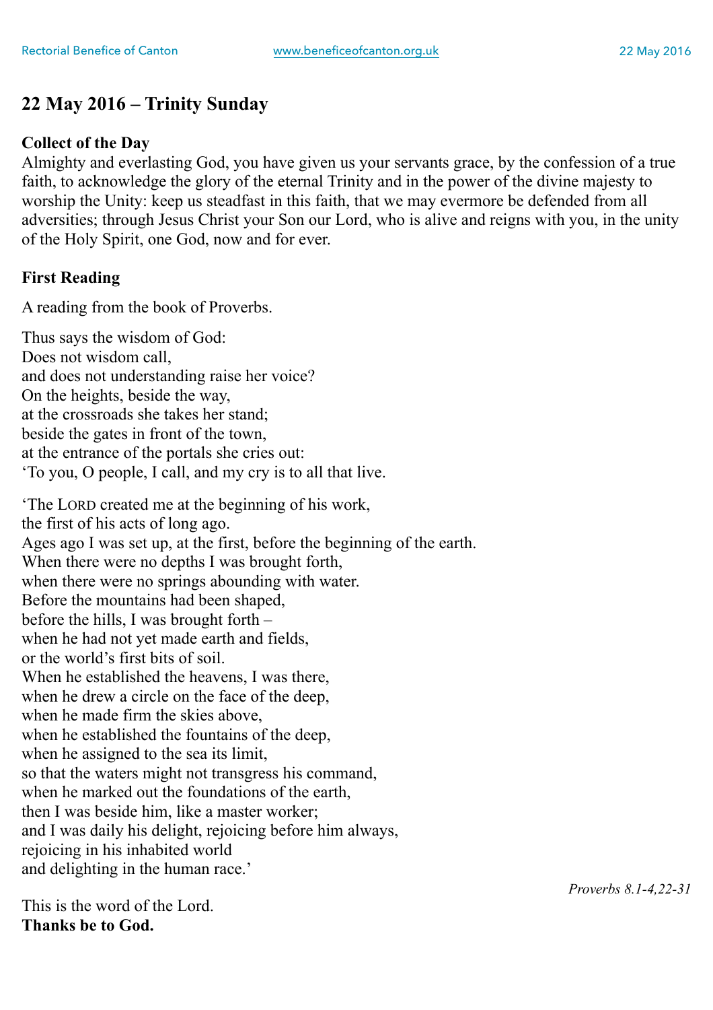### **22 May 2016 – Trinity Sunday**

### **Collect of the Day**

Almighty and everlasting God, you have given us your servants grace, by the confession of a true faith, to acknowledge the glory of the eternal Trinity and in the power of the divine majesty to worship the Unity: keep us steadfast in this faith, that we may evermore be defended from all adversities; through Jesus Christ your Son our Lord, who is alive and reigns with you, in the unity of the Holy Spirit, one God, now and for ever.

### **First Reading**

A reading from the book of Proverbs.

Thus says the wisdom of God: Does not wisdom call, and does not understanding raise her voice? On the heights, beside the way, at the crossroads she takes her stand; beside the gates in front of the town, at the entrance of the portals she cries out: 'To you, O people, I call, and my cry is to all that live. 'The LORD created me at the beginning of his work,

the first of his acts of long ago. Ages ago I was set up, at the first, before the beginning of the earth. When there were no depths I was brought forth, when there were no springs abounding with water. Before the mountains had been shaped, before the hills, I was brought forth – when he had not yet made earth and fields, or the world's first bits of soil. When he established the heavens, I was there, when he drew a circle on the face of the deep, when he made firm the skies above, when he established the fountains of the deep, when he assigned to the sea its limit, so that the waters might not transgress his command, when he marked out the foundations of the earth, then I was beside him, like a master worker; and I was daily his delight, rejoicing before him always, rejoicing in his inhabited world and delighting in the human race.'

This is the word of the Lord. **Thanks be to God.** 

*Proverbs 8.1-4,22-31*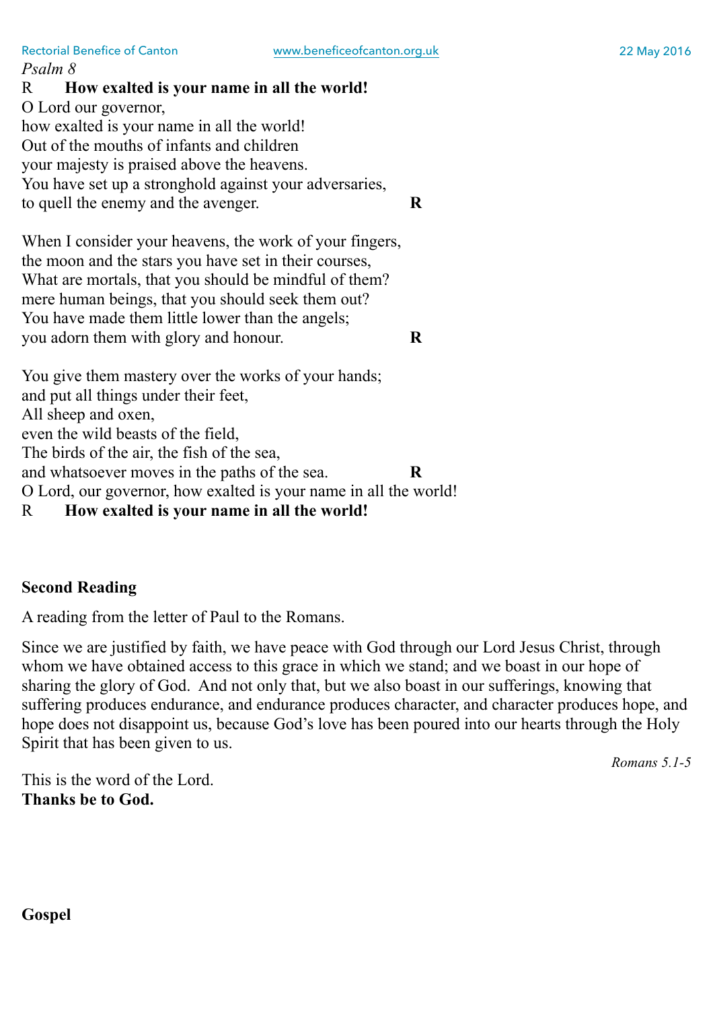*Psalm 8*  R **How exalted is your name in all the world!**  O Lord our governor, how exalted is your name in all the world! Out of the mouths of infants and children your majesty is praised above the heavens. You have set up a stronghold against your adversaries, to quell the enemy and the avenger. **R** 

When I consider your heavens, the work of your fingers, the moon and the stars you have set in their courses, What are mortals, that you should be mindful of them? mere human beings, that you should seek them out? You have made them little lower than the angels; you adorn them with glory and honour. **R** 

You give them mastery over the works of your hands; and put all things under their feet, All sheep and oxen, even the wild beasts of the field, The birds of the air, the fish of the sea, and whatsoever moves in the paths of the sea. **R**  O Lord, our governor, how exalted is your name in all the world!

### R **How exalted is your name in all the world!**

### **Second Reading**

A reading from the letter of Paul to the Romans.

Since we are justified by faith, we have peace with God through our Lord Jesus Christ, through whom we have obtained access to this grace in which we stand; and we boast in our hope of sharing the glory of God. And not only that, but we also boast in our sufferings, knowing that suffering produces endurance, and endurance produces character, and character produces hope, and hope does not disappoint us, because God's love has been poured into our hearts through the Holy Spirit that has been given to us.

*Romans 5.1-5* 

This is the word of the Lord. **Thanks be to God.**

### **Gospel**